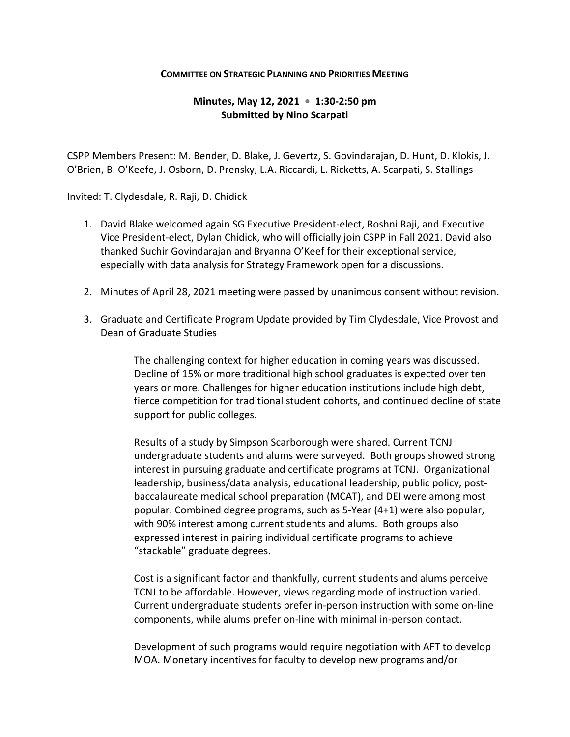## **COMMITTEE ON STRATEGIC PLANNING AND PRIORITIES MEETING**

## **Minutes, May 12, 2021 • 1:30-2:50 pm Submitted by Nino Scarpati**

CSPP Members Present: M. Bender, D. Blake, J. Gevertz, S. Govindarajan, D. Hunt, D. Klokis, J. O'Brien, B. O'Keefe, J. Osborn, D. Prensky, L.A. Riccardi, L. Ricketts, A. Scarpati, S. Stallings

Invited: T. Clydesdale, R. Raji, D. Chidick

- 1. David Blake welcomed again SG Executive President-elect, Roshni Raji, and Executive Vice President-elect, Dylan Chidick, who will officially join CSPP in Fall 2021. David also thanked Suchir Govindarajan and Bryanna O'Keef for their exceptional service, especially with data analysis for Strategy Framework open for a discussions.
- 2. Minutes of April 28, 2021 meeting were passed by unanimous consent without revision.
- 3. Graduate and Certificate Program Update provided by Tim Clydesdale, Vice Provost and Dean of Graduate Studies

The challenging context for higher education in coming years was discussed. Decline of 15% or more traditional high school graduates is expected over ten years or more. Challenges for higher education institutions include high debt, fierce competition for traditional student cohorts, and continued decline of state support for public colleges.

Results of a study by Simpson Scarborough were shared. Current TCNJ undergraduate students and alums were surveyed. Both groups showed strong interest in pursuing graduate and certificate programs at TCNJ. Organizational leadership, business/data analysis, educational leadership, public policy, postbaccalaureate medical school preparation (MCAT), and DEI were among most popular. Combined degree programs, such as 5-Year (4+1) were also popular, with 90% interest among current students and alums. Both groups also expressed interest in pairing individual certificate programs to achieve "stackable" graduate degrees.

Cost is a significant factor and thankfully, current students and alums perceive TCNJ to be affordable. However, views regarding mode of instruction varied. Current undergraduate students prefer in-person instruction with some on-line components, while alums prefer on-line with minimal in-person contact.

Development of such programs would require negotiation with AFT to develop MOA. Monetary incentives for faculty to develop new programs and/or